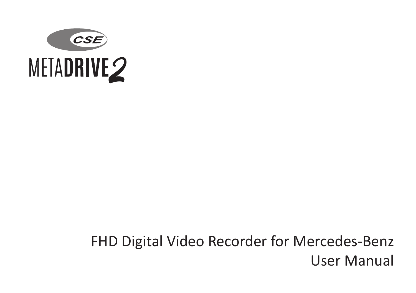

# FHD Digital Video Recorder for Mercedes-Benz User Manual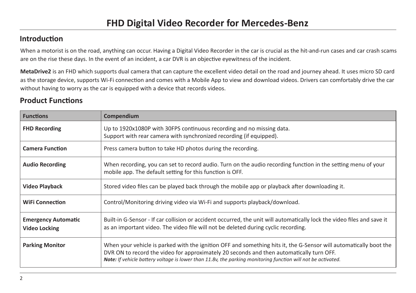### **Introduction**

When a motorist is on the road, anything can occur. Having a Digital Video Recorder in the car is crucial as the hit-and-run cases and car crash scams are on the rise these days. In the event of an incident, a car DVR is an objective eyewitness of the incident.

**MetaDrive2** is an FHD which supports dual camera that can capture the excellent video detail on the road and journey ahead. It uses micro SD card as the storage device, supports Wi-Fi connection and comes with a Mobile App to view and download videos. Drivers can comfortably drive the car without having to worry as the car is equipped with a device that records videos.

### **Product Functions**

| <b>Functions</b>                                   | Compendium                                                                                                                                                                                                                                                                                                                           |  |  |
|----------------------------------------------------|--------------------------------------------------------------------------------------------------------------------------------------------------------------------------------------------------------------------------------------------------------------------------------------------------------------------------------------|--|--|
| <b>FHD Recording</b>                               | Up to 1920x1080P with 30FPS continuous recording and no missing data.<br>Support with rear camera with synchronized recording (if equipped).                                                                                                                                                                                         |  |  |
| <b>Camera Function</b>                             | Press camera button to take HD photos during the recording.                                                                                                                                                                                                                                                                          |  |  |
| <b>Audio Recording</b>                             | When recording, you can set to record audio. Turn on the audio recording function in the setting menu of your<br>mobile app. The default setting for this function is OFF.                                                                                                                                                           |  |  |
| <b>Video Playback</b>                              | Stored video files can be played back through the mobile app or playback after downloading it.                                                                                                                                                                                                                                       |  |  |
| <b>WiFi Connection</b>                             | Control/Monitoring driving video via Wi-Fi and supports playback/download.                                                                                                                                                                                                                                                           |  |  |
| <b>Emergency Automatic</b><br><b>Video Locking</b> | Built-in G-Sensor - If car collision or accident occurred, the unit will automatically lock the video files and save it<br>as an important video. The video file will not be deleted during cyclic recording.                                                                                                                        |  |  |
| <b>Parking Monitor</b>                             | When your vehicle is parked with the ignition OFF and something hits it, the G-Sensor will automatically boot the<br>DVR ON to record the video for approximately 20 seconds and then automatically turn OFF.<br><b>Note:</b> If vehicle battery voltage is lower than 11.8v, the parking monitoring function will not be activated. |  |  |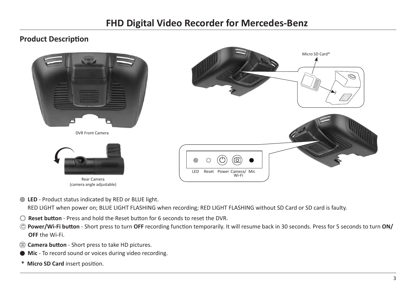Micro SD Card\*

### **Product Description**



Rear Camera (camera angle adjustable)

**LED** - Product status indicated by RED or BLUE light.

RED LIGHT when power on; BLUE LIGHT FLASHING when recording; RED LIGHT FLASHING without SD Card or SD card is faulty.

- **Reset button** Press and hold the Reset button for 6 seconds to reset the DVR.
- **Power/Wi-Fi button**  Short press to turn **OFF** recording function temporarily. It will resume back in 30 seconds. Press for 5 seconds to turn **ON/ OFF** the Wi-Fi.
- **Camera button** Short press to take HD pictures.
- **Mic** To record sound or voices during video recording.
- **\* Micro SD Card** insert position.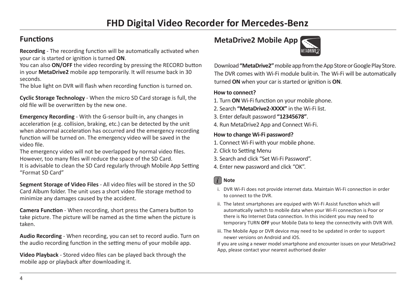### **Functions**

**Recording** - The recording function will be automatically activated when your car is started or ignition is turned **ON**.

You can also **ON/OFF** the video recording by pressing the RECORD button in your **MetaDrive2** mobile app temporarily. It will resume back in 30 seconds.

The blue light on DVR will flash when recording function is turned on.

**Cyclic Storage Technology** - When the micro SD Card storage is full, the old file will be overwritten by the new one.

**Emergency Recording** - With the G-sensor built-in, any changes in acceleration (e.g. collision, braking, etc.) can be detected by the unit when abnormal acceleration has occurred and the emergency recording function will be turned on. The emergency video will be saved in the video file.

The emergency video will not be overlapped by normal video files. However, too many files will reduce the space of the SD Card. It is advisable to clean the SD Card regularly through Mobile App Setting "Format SD Card"

**Segment Storage of Video Files** - All video files will be stored in the SD Card Album folder. The unit uses a short video file storage method to minimize any damages caused by the accident.

**Camera Function** - When recording, short press the Camera button to take picture. The picture will be named as the time when the picture is taken.

**Audio Recording** - When recording, you can set to record audio. Turn on the audio recording function in the setting menu of your mobile app.

**Video Playback** - Stored video files can be played back through the mobile app or playback after downloading it.

# **MetaDrive2 Mobile App**



Download **"MetaDrive2"** mobile app from the App Store or Google Play Store. The DVR comes with Wi-Fi module bulit-in. The Wi-Fi will be automatically turned **ON** when your car is started or ignition is **ON**.

#### **How to connect?**

- 1. Turn **ON** Wi-Fi function on your mobile phone.
- 2. Search **"MetaDrive2-XXXX"** in the Wi-Fi list.
- 3. Enter default password **"12345678"**.
- 4. Run MetaDrive2 App and Connect Wi-Fi.

#### **How to change Wi-Fi password?**

- 1. Connect Wi-Fi with your mobile phone.
- 2. Click to Setting Menu
- 3. Search and click "Set Wi-Fi Password".
- 4. Enter new password and click "OK".

### *i* **Note**

- i. DVR Wi-Fi does not provide internet data. Maintain Wi-Fi connection in order to connect to the DVR.
- ii. The latest smartphones are equiped with Wi-Fi Assist function which will automatically switch to mobile data when your Wi-Fi connection is Poor or there is No Internet Data connection. In this incident you may need to temporary TURN **OFF** your Mobile Data to keep the connectivity with DVR Wifi.
- iii. The Mobile App or DVR device may need to be updated in order to support newer versions on Android and iOS.

If you are using a newer model smartphone and encounter issues on your MetaDrive2 App, please contact your nearest authorised dealer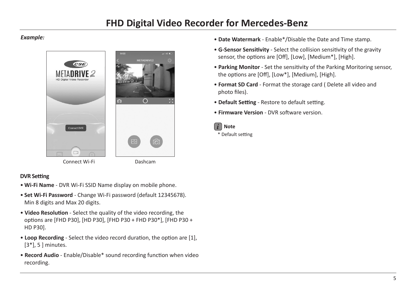#### *Example:*



#### **DVR Setting**

- **Wi-Fi Name** DVR Wi-Fi SSID Name display on mobile phone.
- **Set Wi-Fi Password** Change Wi-Fi password (default 12345678). Min 8 digits and Max 20 digits.
- **Video Resolution** Select the quality of the video recording, the options are [FHD P30], [HD P30], [FHD P30 + FHD P30\*], [FHD P30 + HD P30].
- **Loop Recording** Select the video record duration, the option are [1], [3\*], 5 ] minutes.
- **Record Audio** Enable/Disable\* sound recording function when video recording.
- **Date Watermark** Enable\*/Disable the Date and Time stamp.
- **G-Sensor Sensitivity** Select the collision sensitivity of the gravity sensor, the options are [Off], [Low], [Medium\*], [High].
- **Parking Monitor** Set the sensitivity of the Parking Moritoring sensor, the options are [Off], [Low\*], [Medium], [High].
- **Format SD Card** Format the storage card ( Delete all video and photo files).
- **Default Setting** Restore to default setting.
- **Firmware Version** DVR software version.



\* Default setting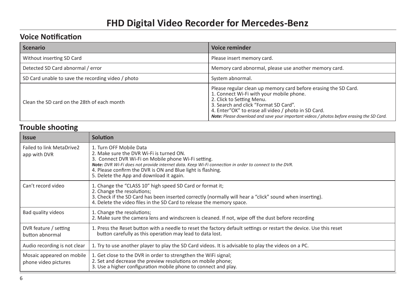### **Voice Notification**

| <b>Scenario</b>                                    | Voice reminder                                                                                                                                                                                                                                                                                                                        |  |
|----------------------------------------------------|---------------------------------------------------------------------------------------------------------------------------------------------------------------------------------------------------------------------------------------------------------------------------------------------------------------------------------------|--|
| Without inserting SD Card                          | Please insert memory card.                                                                                                                                                                                                                                                                                                            |  |
| Detected SD Card abnormal / error                  | Memory card abnormal, please use another memory card.                                                                                                                                                                                                                                                                                 |  |
| SD Card unable to save the recording video / photo | System abnormal.                                                                                                                                                                                                                                                                                                                      |  |
| Clean the SD card on the 28th of each month        | Please regular clean up memory card before erasing the SD Card.<br>1. Connect Wi-Fi with your mobile phone.<br>2. Click to Setting Menu.<br>3. Search and click "Format SD Card".<br>4. Enter"OK" to erase all video / photo in SD Card.<br>Note: Please download and save your important videos / photos before erasing the SD Card. |  |

### **Trouble shooting**

| <b>Issue</b>                                      | <b>Solution</b>                                                                                                                                                                                                                                                                                                                                |  |
|---------------------------------------------------|------------------------------------------------------------------------------------------------------------------------------------------------------------------------------------------------------------------------------------------------------------------------------------------------------------------------------------------------|--|
| Failed to link MetaDrive2<br>app with DVR         | 1. Turn OFF Mobile Data<br>2. Make sure the DVR Wi-Fi is turned ON.<br>3. Connect DVR Wi-Fi on Mobile phone Wi-Fi setting.<br>Note: DVR Wi-Fi does not provide internet data. Keep Wi-Fi connection in order to connect to the DVR.<br>4. Please confirm the DVR is ON and Blue light is flashing.<br>5. Delete the App and download it again. |  |
| Can't record video                                | 1. Change the "CLASS 10" high speed SD Card or format it;<br>2. Change the resolutions;<br>3. Check if the SD Card has been inserted correctly (normally will hear a "click" sound when inserting).<br>4. Delete the video files in the SD Card to release the memory space.                                                                   |  |
| Bad quality videos                                | 1. Change the resolutions;<br>2. Make sure the camera lens and windscreen is cleaned. If not, wipe off the dust before recording                                                                                                                                                                                                               |  |
| DVR feature / setting<br>button abnormal          | 1. Press the Reset button with a needle to reset the factory default settings or restart the device. Use this reset<br>button carefully as this operation may lead to data lost.                                                                                                                                                               |  |
| Audio recording is not clear                      | 1. Try to use another player to play the SD Card videos. It is advisable to play the videos on a PC.                                                                                                                                                                                                                                           |  |
| Mosaic appeared on mobile<br>phone video pictures | 1. Get close to the DVR in order to strengthen the WiFi signal;<br>2. Set and decrease the preview resolutions on mobile phone;<br>3. Use a higher configuration mobile phone to connect and play.                                                                                                                                             |  |